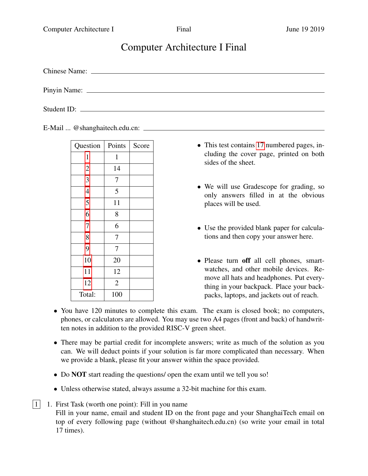# Computer Architecture I Final

Chinese Name:

Pinyin Name:

Student ID:

E-Mail ... @shanghaitech.edu.cn:

| Points         | Score |
|----------------|-------|
| $\mathbf{1}$   |       |
| 14             |       |
| 7              |       |
| 5              |       |
| 11             |       |
| 8              |       |
| 6              |       |
| 7              |       |
| 7              |       |
| 20             |       |
| 12             |       |
| $\overline{2}$ |       |
| 100            |       |
|                |       |

- This test contains [17](#page-16-1) numbered pages, including the cover page, printed on both sides of the sheet.
- We will use Gradescope for grading, so only answers filled in at the obvious places will be used.
- Use the provided blank paper for calculations and then copy your answer here.
- Please turn off all cell phones, smartwatches, and other mobile devices. Remove all hats and headphones. Put everything in your backpack. Place your backpacks, laptops, and jackets out of reach.
- You have 120 minutes to complete this exam. The exam is closed book; no computers, phones, or calculators are allowed. You may use two A4 pages (front and back) of handwritten notes in addition to the provided RISC-V green sheet.
- There may be partial credit for incomplete answers; write as much of the solution as you can. We will deduct points if your solution is far more complicated than necessary. When we provide a blank, please fit your answer within the space provided.
- Do **NOT** start reading the questions/ open the exam until we tell you so!
- Unless otherwise stated, always assume a 32-bit machine for this exam.
- <span id="page-0-0"></span> $|1|$  1. First Task (worth one point): Fill in you name Fill in your name, email and student ID on the front page and your ShanghaiTech email on top of every following page (without @shanghaitech.edu.cn) (so write your email in total 17 times).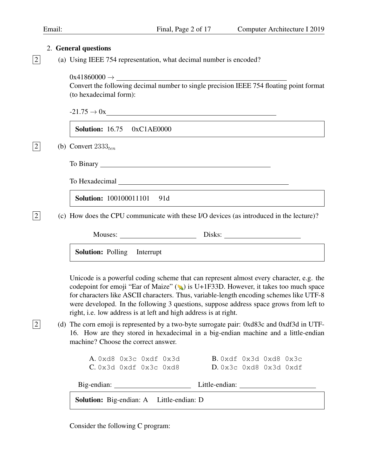<span id="page-1-0"></span>

|  | 2. General questions                                                                                                                                                                                                                 |
|--|--------------------------------------------------------------------------------------------------------------------------------------------------------------------------------------------------------------------------------------|
|  | (a) Using IEEE 754 representation, what decimal number is encoded?                                                                                                                                                                   |
|  | $0x41860000 \rightarrow$<br>Convert the following decimal number to single precision IEEE 754 floating point format<br>(to hexadecimal form):                                                                                        |
|  | $-21.75 \to 0x$                                                                                                                                                                                                                      |
|  | <b>Solution:</b> 16.75 0xC1AE0000                                                                                                                                                                                                    |
|  | (b) Convert $2333_{ten}$                                                                                                                                                                                                             |
|  |                                                                                                                                                                                                                                      |
|  | To Hexadecimal <u>example and the set of the set of the set of the set of the set of the set of the set of the set of the set of the set of the set of the set of the set of the set of the set of the set of the set of the set</u> |
|  | <b>Solution:</b> 100100011101 91d                                                                                                                                                                                                    |
|  | (c) How does the CPU communicate with these I/O devices (as introduced in the lecture)?                                                                                                                                              |
|  | Mouses: <u>Universe Disks:</u> Universe Disks:                                                                                                                                                                                       |
|  | <b>Solution:</b> Polling Interrupt                                                                                                                                                                                                   |
|  |                                                                                                                                                                                                                                      |

Unicode is a powerful coding scheme that can represent almost every character, e.g. the codepoint for emoji "Ear of Maize" ( $\blacktriangle$ ) is U+1F33D. However, it takes too much space for characters like ASCII characters. Thus, variable-length encoding schemes like UTF-8 were developed. In the following 3 questions, suppose address space grows from left to right, i.e. low address is at left and high address is at right.

 $\boxed{2}$  (d) The corn emoji is represented by a two-byte surrogate pair: 0xd83c and 0xdf3d in UTF-16. How are they stored in hexadecimal in a big-endian machine and a little-endian machine? Choose the correct answer.

| A. 0xd8 0x3c 0xdf 0x3d |  | B. Oxdf Ox3d Oxd8 Ox3c |  |  |
|------------------------|--|------------------------|--|--|
| C.0x3d 0xdf 0x3c 0xd8  |  | D.0x3c 0xd8 0x3d 0xdf  |  |  |

Big-endian: Little-endian:

Solution: Big-endian: A Little-endian: D

Consider the following C program: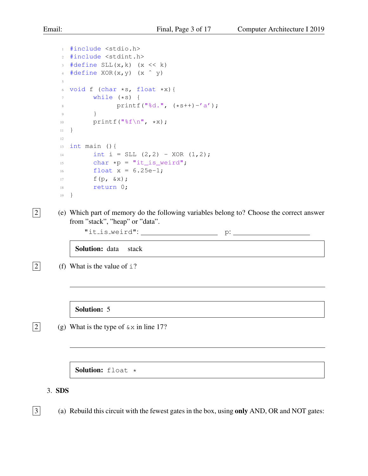```
1 #include <stdio.h>
2 #include <stdint.h>
\frac{1}{3} #define SLL(x, k) (x << k)
4 \text{ \#define } XOR(x,y) (x \uparrow y)
5
6 void f (char *s, float *x){
7 while (*s) {
8 printf("%d.", (*s++)-'a');
9 }
10 printf("%f\n", *x);
11 }
12
13 int main (){
14 int i = SLL (2, 2) - XOR (1, 2);
15 char *p = "it_is\_weird";16 float x = 6.25e-1;
17 f(p, \&x);18 return 0;
19 }
```
2 (e) Which part of memory do the following variables belong to? Choose the correct answer from "stack", "heap" or "data".

 $"it_is-weight"$ :  $"$ 

Solution: data stack

 $\boxed{2}$  (f) What is the value of i?

Solution: 5

 $\boxed{2}$  (g) What is the type of  $\&\times$  in line 17?

Solution: float \*

<span id="page-2-0"></span>3. SDS

 $\boxed{3}$  (a) Rebuild this circuit with the fewest gates in the box, using only AND, OR and NOT gates: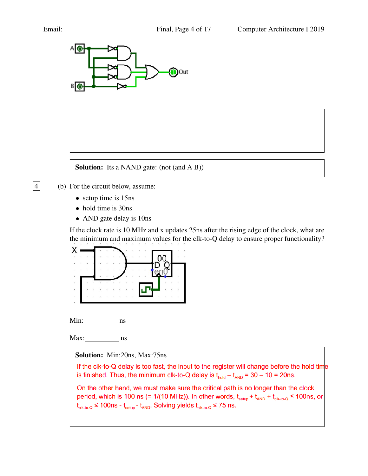

Solution: Its a NAND gate: (not (and A B))

- $\boxed{4}$  (b) For the circuit below, assume:
	- setup time is 15ns
	- hold time is 30ns
	- AND gate delay is 10ns

If the clock rate is 10 MHz and x updates 25ns after the rising edge of the clock, what are the minimum and maximum values for the clk-to-Q delay to ensure proper functionality?



Min: ns

Max: ns

Solution: Min:20ns, Max:75ns

If the clk-to-Q delay is too fast, the input to the register will change before the hold time is finished. Thus, the minimum clk-to-Q delay is  $t_{\text{hold}} - t_{\text{AND}} = 30 - 10 = 20$ ns.

On the other hand, we must make sure the critical path is no longer than the clock period, which is 100 ns (= 1/(10 MHz)). In other words,  $t_{\text{setup}} + t_{\text{AND}} + t_{\text{cik-to-Q}} \le 100$ ns, or  $t_{\text{clk-to-Q}} \le 100$ ns -  $t_{\text{setup}}$ -  $t_{\text{AND}}$ . Solving yields  $t_{\text{clk-to-Q}} \le 75$  ns.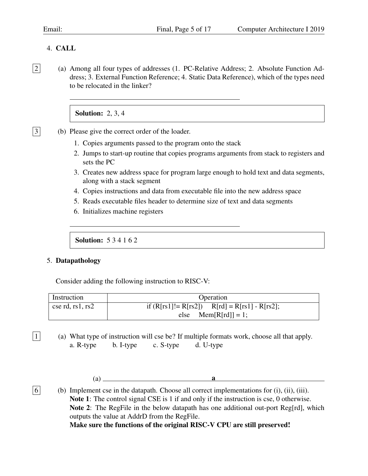# <span id="page-4-0"></span>4. CALL

2 (a) Among all four types of addresses (1. PC-Relative Address; 2. Absolute Function Address; 3. External Function Reference; 4. Static Data Reference), which of the types need to be relocated in the linker?

# **Solution: 2, 3, 4**

- 3 (b) Please give the correct order of the loader.
	- 1. Copies arguments passed to the program onto the stack
	- 2. Jumps to start-up routine that copies programs arguments from stack to registers and sets the PC
	- 3. Creates new address space for program large enough to hold text and data segments, along with a stack segment
	- 4. Copies instructions and data from executable file into the new address space
	- 5. Reads executable files header to determine size of text and data segments
	- 6. Initializes machine registers

Solution: 5 3 4 1 6 2

#### <span id="page-4-1"></span>5. Datapathology

Consider adding the following instruction to RISC-V:

| Instruction      | Operation                                         |  |  |  |  |  |  |
|------------------|---------------------------------------------------|--|--|--|--|--|--|
| cse rd, rs1, rs2 | if $(R[rs1] = R[rs2])$ $R[rd] = R[rs1] - R[rs2];$ |  |  |  |  |  |  |
|                  | else $Mem[R[rd]] = 1;$                            |  |  |  |  |  |  |

 $\boxed{1}$  (a) What type of instruction will cse be? If multiple formats work, choose all that apply. a. R-type b. I-type c. S-type d. U-type

 $\bf{a}$ 

 $\boxed{6}$  (b) Implement cse in the datapath. Choose all correct implementations for (i), (ii), (iii). Note 1: The control signal CSE is 1 if and only if the instruction is cse, 0 otherwise. Note 2: The RegFile in the below datapath has one additional out-port Reg[rd], which outputs the value at AddrD from the RegFile.

Make sure the functions of the original RISC-V CPU are still preserved!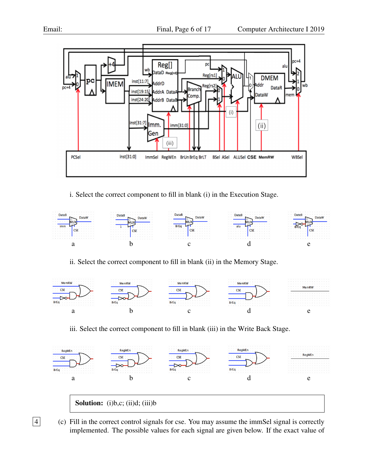



i. Select the correct component to fill in blank (i) in the Execution Stage.



ii. Select the correct component to fill in blank (ii) in the Memory Stage.



iii. Select the correct component to fill in blank (iii) in the Write Back Stage.



4 (c) Fill in the correct control signals for cse. You may assume the immSel signal is correctly implemented. The possible values for each signal are given below. If the exact value of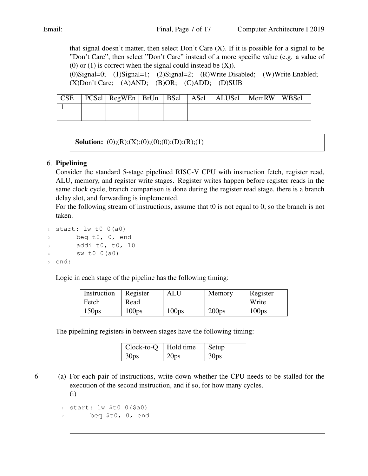that signal doesn't matter, then select Don't Care  $(X)$ . If it is possible for a signal to be "Don't Care", then select "Don't Care" instead of a more specific value (e.g. a value of (0) or (1) is correct when the signal could instead be  $(X)$ ).

(0)Signal=0; (1)Signal=1; (2)Signal=2; (R)Write Disabled; (W)Write Enabled; (X)Don't Care; (A)AND; (B)OR; (C)ADD; (D)SUB

| $\Gamma$ CSE |  |  |  | PCSel RegWEn   BrUn   BSel   ASel   ALUSel   MemRW   WBSel |  |
|--------------|--|--|--|------------------------------------------------------------|--|
|              |  |  |  |                                                            |  |
|              |  |  |  |                                                            |  |

**Solution:** (0);(R);(X);(0);(0);(0);(D);(R);(1)

#### <span id="page-6-0"></span>6. Pipelining

Consider the standard 5-stage pipelined RISC-V CPU with instruction fetch, register read, ALU, memory, and register write stages. Register writes happen before register reads in the same clock cycle, branch comparison is done during the register read stage, there is a branch delay slot, and forwarding is implemented.

For the following stream of instructions, assume that t0 is not equal to 0, so the branch is not taken.

 $1$  start:  $1w$  t0 0(a0)  $2 \qquad \qquad$  beq t0, 0, end addi t0, t0, 10  $sw t0 0(a0)$ <sup>5</sup> end:

Logic in each stage of the pipeline has the following timing:

| Instruction       | Register          | <b>ALU</b>        | Memory            | Register          |
|-------------------|-------------------|-------------------|-------------------|-------------------|
| Fetch             | Read              |                   |                   | Write             |
| 150 <sub>ps</sub> | 100 <sub>ps</sub> | 100 <sub>ps</sub> | 200 <sub>ps</sub> | 100 <sub>ps</sub> |

The pipelining registers in between stages have the following timing:

| $Clock-to-Q$     | Hold time        | Setup            |
|------------------|------------------|------------------|
| 30 <sub>ps</sub> | 20 <sub>ps</sub> | 30 <sub>ps</sub> |

 $\boxed{6}$  (a) For each pair of instructions, write down whether the CPU needs to be stalled for the execution of the second instruction, and if so, for how many cycles. (i)

 $1$  start:  $1w$  \$t0 0(\$a0) <sup>2</sup> beq \$t0, 0, end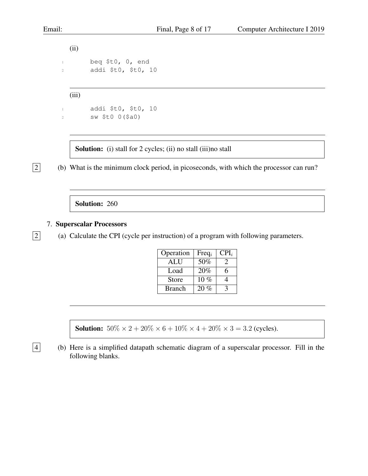(ii) 1 beq \$t0, 0, end <sup>2</sup> addi \$t0, \$t0, 10

(iii)

```
1 addi $t0, $t0, 10
2 sw $t0 0($a0)
```
Solution: (i) stall for 2 cycles; (ii) no stall (iii)no stall

2 (b) What is the minimum clock period, in picoseconds, with which the processor can run?

Solution: 260

<span id="page-7-0"></span>7. Superscalar Processors

 $\boxed{2}$  (a) Calculate the CPI (cycle per instruction) of a program with following parameters.

| Operation     | $Freq_i$ | $CPI_i$       |
|---------------|----------|---------------|
| <b>ALU</b>    | $50\%$   | $\mathcal{L}$ |
| Load          | 20%      | 6             |
| Store         | $10\%$   |               |
| <b>Branch</b> | 20%      |               |

**Solution:**  $50\% \times 2 + 20\% \times 6 + 10\% \times 4 + 20\% \times 3 = 3.2$  (cycles).

4 (b) Here is a simplified datapath schematic diagram of a superscalar processor. Fill in the following blanks.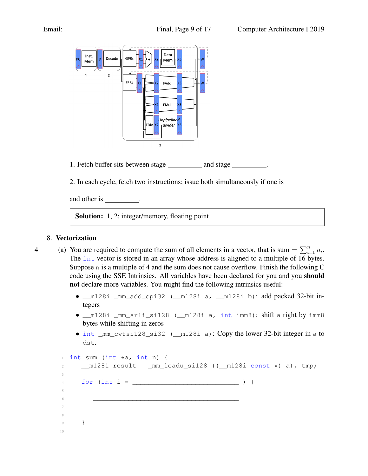

1. Fetch buffer sits between stage and stage and stage

2. In each cycle, fetch two instructions; issue both simultaneously if one is

and other is .

Solution: 1, 2; integer/memory, floating point

# <span id="page-8-0"></span>8. Vectorization

- 4 (a) You are required to compute the sum of all elements in a vector, that is sum  $= \sum_{i=0}^{n} a_i$ . The int vector is stored in an array whose address is aligned to a multiple of 16 bytes. Suppose n is a multiple of 4 and the sum does not cause overflow. Finish the following C code using the SSE Intrinsics. All variables have been declared for you and you should not declare more variables. You might find the following intrinsics useful:
	- \_\_m128i \_mm\_add\_epi32 (\_\_m128i a, \_\_m128i b): add packed 32-bit integers
	- \_\_m128i \_mm\_srli\_si128 (\_\_m128i a, int imm8): shift a right by imm8 bytes while shifting in zeros
	- int \_mm\_cvtsi128\_si32 (\_m128i a): Copy the lower 32-bit integer in a to dst.

```
int sum (int *a, int n) {
2 \qquad \qquad \text{m128i} \text{ result} = \text{mm}\text{loadu}\text{.} \text{sin}28 \text{ (}(\text{m128i const} \star) \text{ a), \text{tmp}};3
     for (int i = ) {
5
\epsilon7
8 _____________________________________
9 }
10
```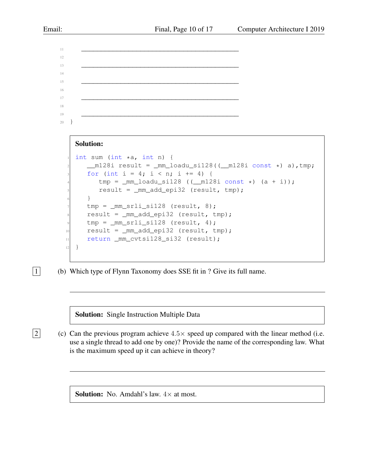```
11 ________________________________________
12
13 ________________________________________
14
15 ________________________________________
16
17 ________________________________________
18
19 ________________________________________
20 }
```
#### Solution:

```
int sum (int *a, int n) {
      m128i result = mm\_loadu_s1128 ((ml28i const *) a), tmp;
     for (int i = 4; i < n; i += 4) {
         tmp = \text{mm}\_loadu\_sil28 ((\text{mm}\_28i const *) (a + i));
         5 result = _mm_add_epi32 (result, tmp);
      \}tmp = <code>mm_srli_sil28</code> (result, 8);result = _mm\_add\_epi32 (result, tmp);tmp = \text{mm\_srli\_sil28} (result, 4);10 result = mm\_add\_epi32 (result, tmp);
11 return _mm_cvtsi128_si32 (result);
12 }
```
 $\boxed{1}$  (b) Which type of Flynn Taxonomy does SSE fit in ? Give its full name.

Solution: Single Instruction Multiple Data

 $\boxed{2}$  (c) Can the previous program achieve  $4.5 \times$  speed up compared with the linear method (i.e. use a single thread to add one by one)? Provide the name of the corresponding law. What is the maximum speed up it can achieve in theory?

**Solution:** No. Amdahl's law.  $4 \times$  at most.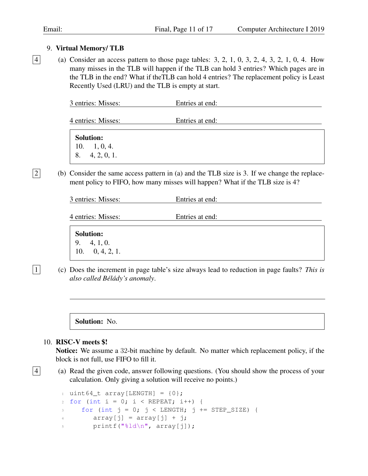#### <span id="page-10-0"></span>9. Virtual Memory/ TLB

 $|4|$  (a) Consider an access pattern to those page tables: 3, 2, 1, 0, 3, 2, 4, 3, 2, 1, 0, 4. How many misses in the TLB will happen if the TLB can hold 3 entries? Which pages are in the TLB in the end? What if theTLB can hold 4 entries? The replacement policy is Least Recently Used (LRU) and the TLB is empty at start.

| 3 entries: Misses: | Entries at end: |  |
|--------------------|-----------------|--|
| 4 entries: Misses: | Entries at end: |  |
| <b>Solution:</b>   |                 |  |

10. 1, 0, 4. 8. 4, 2, 0, 1.

 $\boxed{2}$  (b) Consider the same access pattern in (a) and the TLB size is 3. If we change the replacement policy to FIFO, how many misses will happen? What if the TLB size is 4?

|--|

4 entries: Misses: Entries at end:

| <b>Solution:</b>                               |  |  |  |
|------------------------------------------------|--|--|--|
| $\begin{array}{ccc} 9. & 4, 1, 0. \end{array}$ |  |  |  |
| 10. $0, 4, 2, 1$ .                             |  |  |  |

1 (c) Does the increment in page table's size always lead to reduction in page faults? *This is also called Bélády's anomaly.* 

Solution: No.

#### <span id="page-10-1"></span>10. RISC-V meets \$!

Notice: We assume a 32-bit machine by default. No matter which replacement policy, if the block is not full, use FIFO to fill it.

 $\boxed{4}$  (a) Read the given code, answer following questions. (You should show the process of your calculation. Only giving a solution will receive no points.)

```
1 uint64_t array[LENGTH] = \{0\};
2 for (int i = 0; i < REPEAT; i++) {
3 for (int j = 0; j < LENGTH; j += STEP_SIZE) {
4 array[j] = array[j] + j;
5 printf("%ld\n", array[j]);
```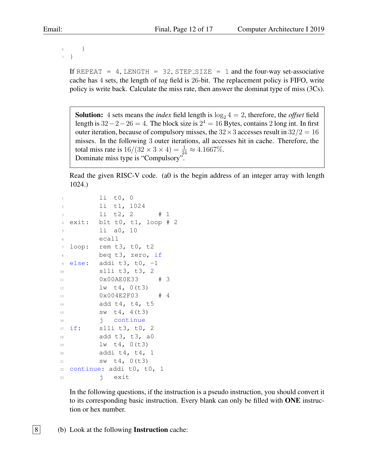<sup>6</sup> } <sup>7</sup> }

> If REPEAT = 4, LENGTH = 32, STEP\_SIZE = 1 and the four-way set-associative cache has 4 sets, the length of *tag* field is 26-bit. The replacement policy is FIFO, write policy is write back. Calculate the miss rate, then answer the dominat type of miss (3Cs).

**Solution:** 4 sets means the *index* field length is  $\log_2 4 = 2$ , therefore, the *offset* field length is  $32-2-26=4$ . The block size is  $2^4 = 16$  Bytes, contains 2 long int. In first outer iteration, because of compulsory misses, the  $32 \times 3$  accesses result in  $32/2 = 16$ misses. In the following 3 outer iterations, all accesses hit in cache. Therefore, the total miss rate is  $16/(32 \times 3 \times 4) = \frac{1}{24} \approx 4.1667\%.$ Dominate miss type is "Compulsory".

Read the given RISC-V code. (a0 is the begin address of an integer array with length 1024.)

```
1i t0, 0
2 li t1, 1024
        1i t2, 2 # 1
4 exit: blt t0, t1, loop # 2
        li a0, 10
        6 ecall
  loop: rem t3, t0, t2beq t3, zero, if
9 else: addi t3, t0, -1
10 slli t3, t3, 2
11 0x00AE0E33 # 3
12 \frac{1}{W} \frac{1}{4}, 0 (t3)
13 0x004E2F03 # 4
14 add t4, t4, t5
15 SW \t4, 4(t3)16 i continue
17 if: slli t3, t0, 2
18 add t3, t3, a0
19 \frac{1}{W} \frac{1}{4}, 0 (t3)
20 addi t4, t4, 1
21 sw t4, 0(t3)
22 continue: addi t0, t0, 1
23 j exit
```
In the following questions, if the instruction is a pseudo instruction, you should convert it to its corresponding basic instruction. Every blank can only be filled with **ONE** instruction or hex number.

 $|8|$  (b) Look at the following **Instruction** cache: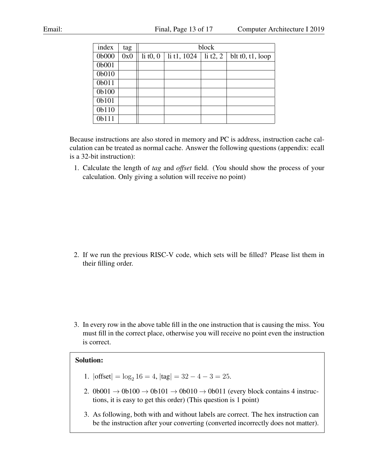| index | tag |            | block       |            |                    |  |  |  |
|-------|-----|------------|-------------|------------|--------------------|--|--|--|
| 0b000 | 0x0 | li $t0, 0$ | li t1, 1024 | li $t2, 2$ | blt $t0, t1, loop$ |  |  |  |
| 0b001 |     |            |             |            |                    |  |  |  |
| 0b010 |     |            |             |            |                    |  |  |  |
| 0b011 |     |            |             |            |                    |  |  |  |
| 0b100 |     |            |             |            |                    |  |  |  |
| 0b101 |     |            |             |            |                    |  |  |  |
| 0b110 |     |            |             |            |                    |  |  |  |
| 0b111 |     |            |             |            |                    |  |  |  |

Because instructions are also stored in memory and PC is address, instruction cache calculation can be treated as normal cache. Answer the following questions (appendix: ecall is a 32-bit instruction):

1. Calculate the length of *tag* and *offset* field. (You should show the process of your calculation. Only giving a solution will receive no point)

2. If we run the previous RISC-V code, which sets will be filled? Please list them in their filling order.

3. In every row in the above table fill in the one instruction that is causing the miss. You must fill in the correct place, otherwise you will receive no point even the instruction is correct.

## Solution:

- 1.  $|offset| = log_2 16 = 4$ ,  $|tag| = 32 4 3 = 25$ .
- 2. 0b001  $\rightarrow$  0b100  $\rightarrow$  0b101  $\rightarrow$  0b010  $\rightarrow$  0b011 (every block contains 4 instructions, it is easy to get this order) (This question is 1 point)
- 3. As following, both with and without labels are correct. The hex instruction can be the instruction after your converting (converted incorrectly does not matter).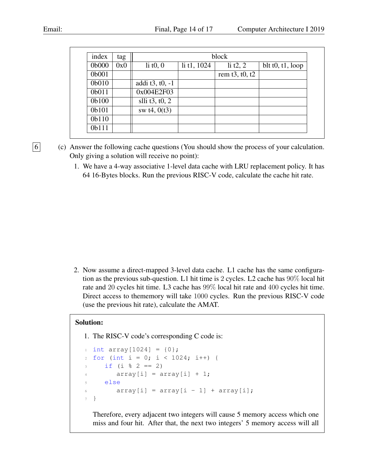| index | tag | block            |             |                  |                    |
|-------|-----|------------------|-------------|------------------|--------------------|
| 0b000 | 0x0 | li $t0, 0$       | li t1, 1024 | li $t2, 2$       | blt $t0, t1, loop$ |
| 0b001 |     |                  |             | rem $t3, t0, t2$ |                    |
| 0b010 |     | addi t3, t0, -1  |             |                  |                    |
| 0b011 |     | 0x004E2F03       |             |                  |                    |
| 0b100 |     | slli $t3, t0, 2$ |             |                  |                    |
| 0b101 |     | sw $t4, 0(t3)$   |             |                  |                    |
| 0b110 |     |                  |             |                  |                    |
| 0b111 |     |                  |             |                  |                    |

- $\boxed{6}$  (c) Answer the following cache questions (You should show the process of your calculation. Only giving a solution will receive no point):
	- 1. We have a 4-way associative 1-level data cache with LRU replacement policy. It has 64 16-Bytes blocks. Run the previous RISC-V code, calculate the cache hit rate.

2. Now assume a direct-mapped 3-level data cache. L1 cache has the same configuration as the previous sub-question. L1 hit time is 2 cycles. L2 cache has 90% local hit rate and 20 cycles hit time. L3 cache has 99% local hit rate and 400 cycles hit time. Direct access to thememory will take 1000 cycles. Run the previous RISC-V code (use the previous hit rate), calculate the AMAT.

# Solution:

```
1. The RISC-V code's corresponding C code is:
```

```
1 int array[1024] = \{0\};
2 for (int i = 0; i < 1024; i++) {
3 if (i \frac{6}{5} 2 == 2)
4 array[i] = array[i] + 1;
5 else
6 array[i] = array[i - 1] + array[i];
7 }
```
Therefore, every adjacent two integers will cause 5 memory access which one miss and four hit. After that, the next two integers' 5 memory access will all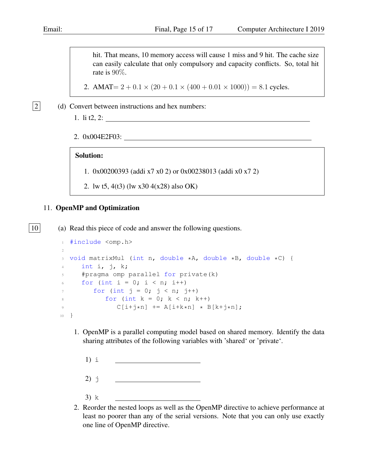hit. That means, 10 memory access will cause 1 miss and 9 hit. The cache size can easily calculate that only compulsory and capacity conflicts. So, total hit rate is 90%.

2. AMAT=  $2 + 0.1 \times (20 + 0.1 \times (400 + 0.01 \times 1000)) = 8.1$  cycles.

 $\boxed{2}$  (d) Convert between instructions and hex numbers:

- 1. li t2, 2:
- 2. 0x004E2F03:

#### Solution:

- 1. 0x00200393 (addi x7 x0 2) or 0x00238013 (addi x0 x7 2)
- 2. lw t5, 4(t3) (lw x30 4(x28) also OK)

## <span id="page-14-0"></span>11. OpenMP and Optimization

| 10 | (a) Read this piece of code and answer the following questions.

```
1 #include <omp.h>
\overline{2}3 void matrixMul (int n, double *A, double *B, double *C) {
4 int i, j, k;
5 #pragma omp parallel for private(k)
6 for (int i = 0; i < n; i++)7 \quad \text{for} \quad (\text{int } j = 0; j < n; j++)8 for (int k = 0; k < n; k++)
9 C[i+j*n] += A[i+k*n] * B[k+j*n];10 }
```
- 1. OpenMP is a parallel computing model based on shared memory. Identify the data sharing attributes of the following variables with 'shared' or 'private'.
	- 1) i
	- $2)$  j
	- 3) k
- 2. Reorder the nested loops as well as the OpenMP directive to achieve performance at least no poorer than any of the serial versions. Note that you can only use exactly one line of OpenMP directive.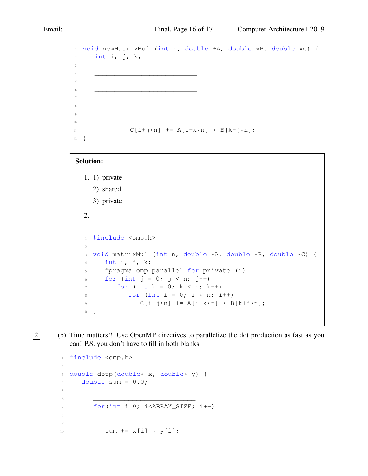```
1 void newMatrixMul (int n, double *A, double *B, double *C) {
2 int i, j, k;
3
4 __________________________
5
\begin{array}{ccc} 6 & & \textcolor{red}{\textbf{1}} & \textcolor{red}{\textbf{1}} & \textcolor{red}{\textbf{1}} \\ \end{array}7
8 __________________________
9
10 \qquad \qquad \overline{\qquad \qquad }11 C[i+j*n] += A[i+k*n] * B[k+j*n];
12 }
```
#### Solution:

- 1. 1) private
	- 2) shared
	- 3) private
- 2.

```
1 #include <omp.h>
2
3 void matrixMul (int n, double *A, double *B, double *C) {
4 int i, j, k;
5 #pragma omp parallel for private (i)
6 for (int j = 0; j < n; j++)7 \quad \text{for} \quad \text{(int } k = 0; \quad k < n; \quad k++)8 for (int i = 0; i < n; i+19 C[i+j*n] += A[i+k*n] + B[k+j*n];10 }
```
- 
- 2 (b) Time matters!! Use OpenMP directives to parallelize the dot production as fast as you can! P.S. you don't have to fill in both blanks.

```
1 #include <omp.h>
2
3 double dotp(double* x, double* y) {
4 double sum = 0.0;
5
\begin{array}{ccc} 6 & & \textcolor{red}{\textbf{1}} & \textcolor{red}{\textbf{1}} & \textcolor{red}{\textbf{1}} \\ \end{array}7 for(int i=0; i<ARRAY_SIZE; i++)
8
9 \qquad \qquad 910 sum + = x[i] + y[i];
```